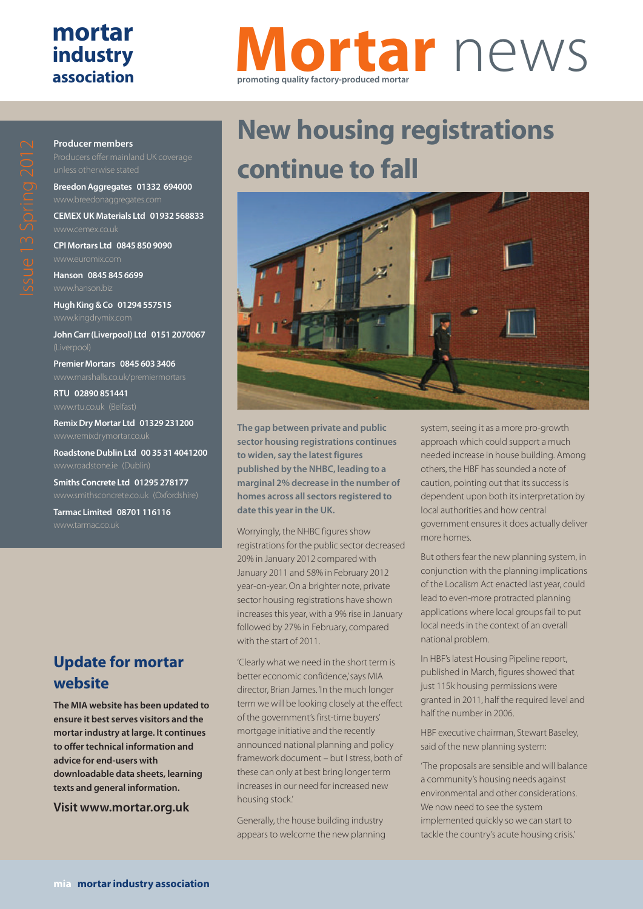## **mortar industry association**

# **Mortar** news **promoting quality factory-produced mortar**

# $\bigcirc$

**Producer members**

**Breedon Aggregates 01332 694000**

**CEMEX UK Materials Ltd 01932 568833**

**CPI Mortars Ltd 0845 850 9090**

**Hanson 0845 845 6699**

**Hugh King & Co 01294 557515**

**John Carr (Liverpool) Ltd 0151 2070067**

**Premier Mortars 0845 603 3406**

**RTU 02890 851441**

**Remix Dry Mortar Ltd 01329 231200**

**Roadstone Dublin Ltd 00 35 31 4041200**

**Smiths Concrete Ltd 01295 278177**

**Tarmac Limited 08701 116116**

## **Update for mortar website**

**The MIA website has been updated to ensure it best serves visitors and the mortar industry at large. It continues to offer technical information and advice for end-users with downloadable data sheets, learning texts and general information.**

**Visit www.mortar.org.uk**

# **New housing registrations continue to fall**



**The gap between private and public sector housing registrations continues to widen, say the latest figures published by the NHBC, leading to a marginal 2% decrease in the number of homes across all sectors registered to date this year in the UK.** 

Worryingly, the NHBC figures show registrations for the public sector decreased 20% in January 2012 compared with January 2011 and 58% in February 2012 year-on-year. On a brighter note, private sector housing registrations have shown increases this year, with a 9% rise in January followed by 27% in February, compared with the start of 2011.

'Clearly what we need in the short term is better economic confidence,' says MIA director, Brian James. 'In the much longer term we will be looking closely at the effect of the government's first-time buyers' mortgage initiative and the recently announced national planning and policy framework document – but I stress, both of these can only at best bring longer term increases in our need for increased new housing stock.'

Generally, the house building industry appears to welcome the new planning system, seeing it as a more pro-growth approach which could support a much needed increase in house building. Among others, the HBF has sounded a note of caution, pointing out that its success is dependent upon both its interpretation by local authorities and how central government ensures it does actually deliver more homes.

But others fear the new planning system, in conjunction with the planning implications of the Localism Act enacted last year, could lead to even-more protracted planning applications where local groups fail to put local needs in the context of an overall national problem.

In HBF's latest Housing Pipeline report, published in March, figures showed that just 115k housing permissions were granted in 2011, half the required level and half the number in 2006.

HBF executive chairman, Stewart Baseley, said of the new planning system:

'The proposals are sensible and will balance a community's housing needs against environmental and other considerations. We now need to see the system implemented quickly so we can start to tackle the country's acute housing crisis.'